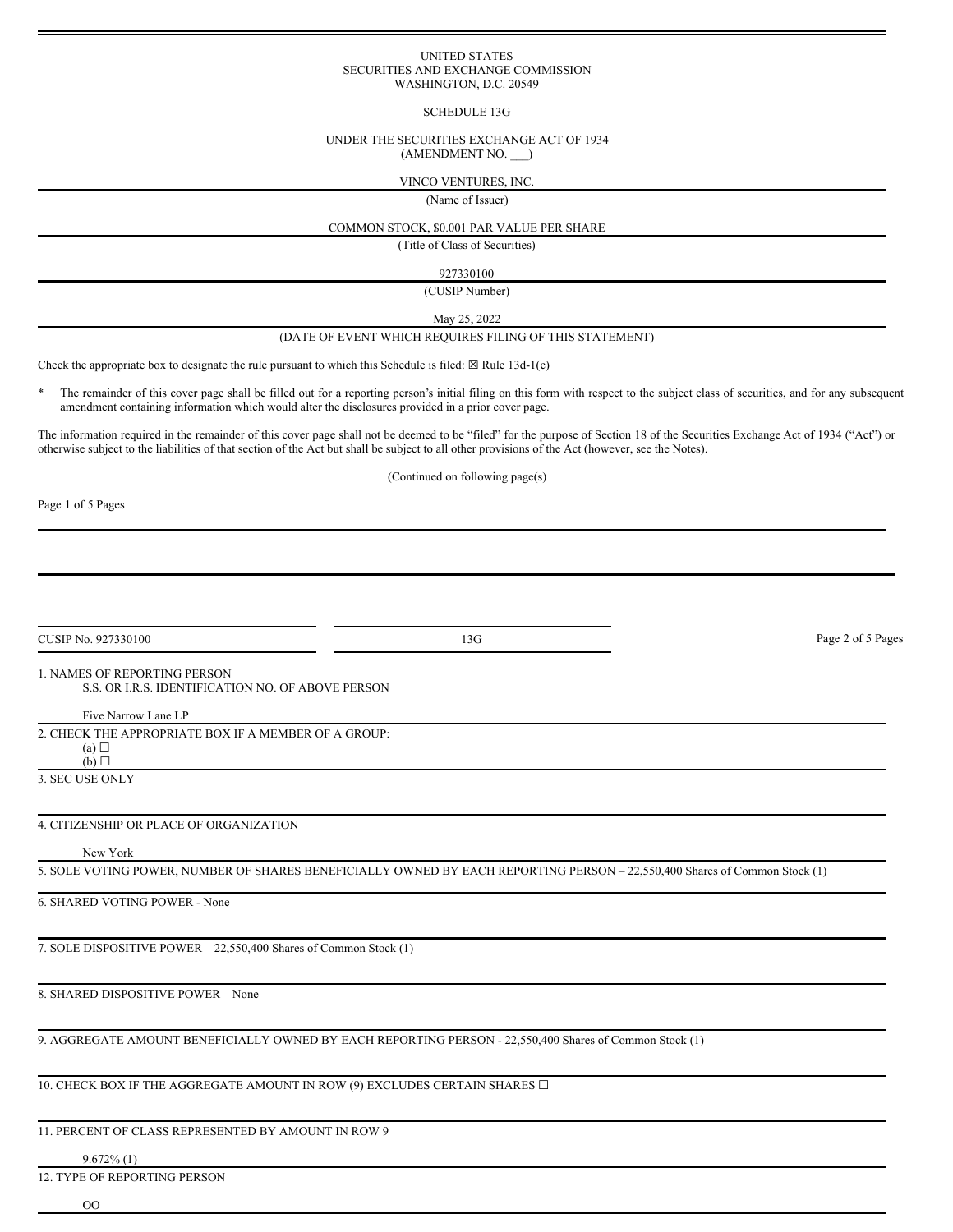#### UNITED STATES SECURITIES AND EXCHANGE COMMISSION WASHINGTON, D.C. 20549

### SCHEDULE 13G

#### UNDER THE SECURITIES EXCHANGE ACT OF 1934 (AMENDMENT NO. \_\_\_)

### VINCO VENTURES, INC.

(Name of Issuer)

# COMMON STOCK, \$0.001 PAR VALUE PER SHARE

(Title of Class of Securities)

927330100

(CUSIP Number)

May 25, 2022

#### (DATE OF EVENT WHICH REQUIRES FILING OF THIS STATEMENT)

Check the appropriate box to designate the rule pursuant to which this Schedule is filed:  $\boxtimes$  Rule 13d-1(c)

The remainder of this cover page shall be filled out for a reporting person's initial filing on this form with respect to the subject class of securities, and for any subsequent amendment containing information which would alter the disclosures provided in a prior cover page.

The information required in the remainder of this cover page shall not be deemed to be "filed" for the purpose of Section 18 of the Securities Exchange Act of 1934 ("Act") or otherwise subject to the liabilities of that section of the Act but shall be subject to all other provisions of the Act (however, see the Notes).

(Continued on following page(s)

Page 1 of 5 Pages

CUSIP No. 927330100 Page 2 of 5 Pages

# 1. NAMES OF REPORTING PERSON

S.S. OR I.R.S. IDENTIFICATION NO. OF ABOVE PERSON

# Five Narrow Lane LP

2. CHECK THE APPROPRIATE BOX IF A MEMBER OF A GROUP:

 $(a)$  $\Box$  $(b)$   $\square$ 

3. SEC USE ONLY

# 4. CITIZENSHIP OR PLACE OF ORGANIZATION

# New York

5. SOLE VOTING POWER, NUMBER OF SHARES BENEFICIALLY OWNED BY EACH REPORTING PERSON – 22,550,400 Shares of Common Stock (1)

6. SHARED VOTING POWER - None

7. SOLE DISPOSITIVE POWER – 22,550,400 Shares of Common Stock (1)

8. SHARED DISPOSITIVE POWER – None

9. AGGREGATE AMOUNT BENEFICIALLY OWNED BY EACH REPORTING PERSON - 22,550,400 Shares of Common Stock (1)

10. CHECK BOX IF THE AGGREGATE AMOUNT IN ROW (9) EXCLUDES CERTAIN SHARES  $\Box$ 

# 11. PERCENT OF CLASS REPRESENTED BY AMOUNT IN ROW 9

# 9.672% (1)

12. TYPE OF REPORTING PERSON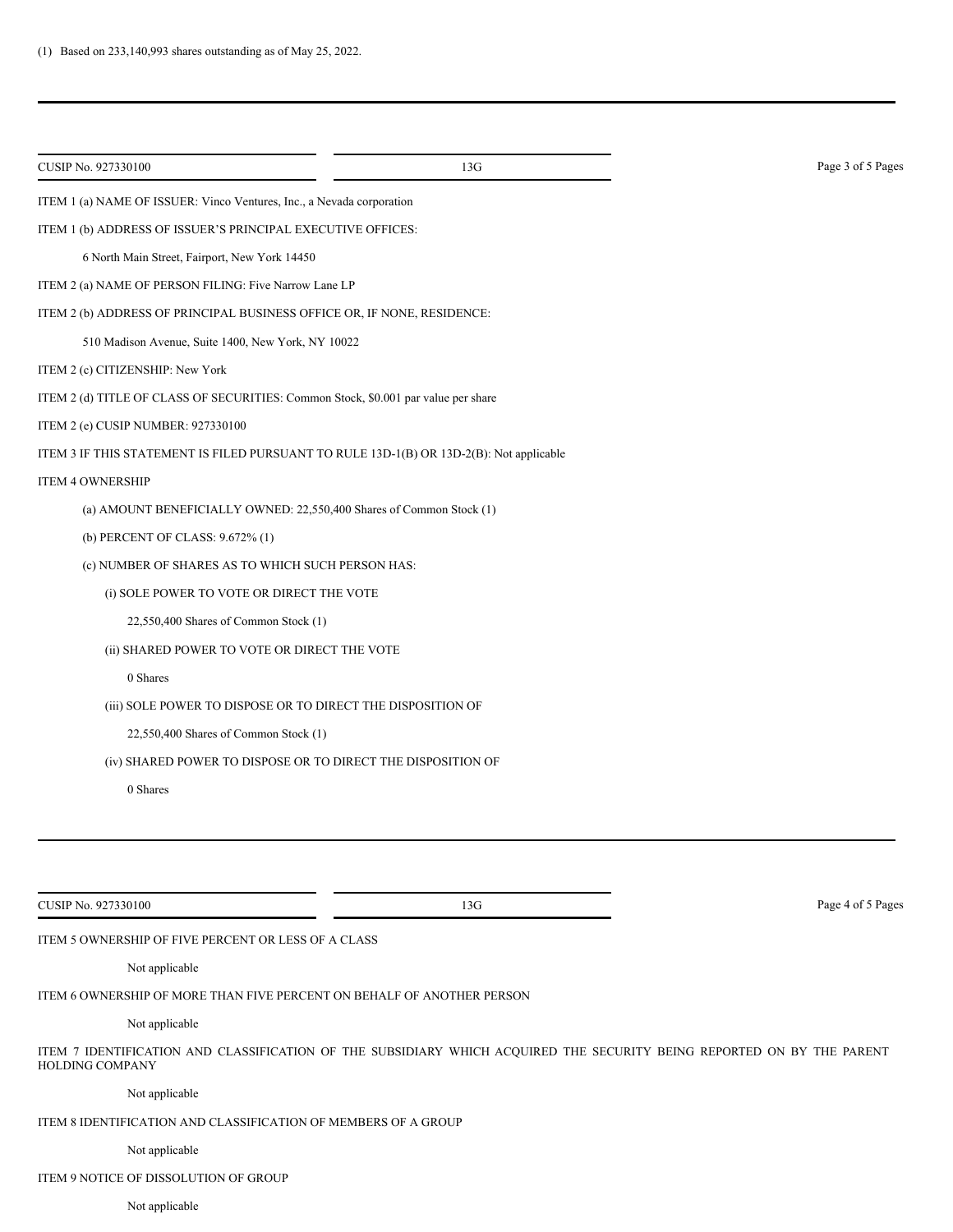| ITEM 1 (a) NAME OF ISSUER: Vinco Ventures, Inc., a Nevada corporation                   |                                                     |
|-----------------------------------------------------------------------------------------|-----------------------------------------------------|
| ITEM 1 (b) ADDRESS OF ISSUER'S PRINCIPAL EXECUTIVE OFFICES:                             |                                                     |
|                                                                                         |                                                     |
| ITEM 2 (a) NAME OF PERSON FILING: Five Narrow Lane LP                                   |                                                     |
| ITEM 2 (b) ADDRESS OF PRINCIPAL BUSINESS OFFICE OR, IF NONE, RESIDENCE:                 |                                                     |
| 510 Madison Avenue, Suite 1400, New York, NY 10022                                      |                                                     |
|                                                                                         |                                                     |
| ITEM 2 (d) TITLE OF CLASS OF SECURITIES: Common Stock, \$0.001 par value per share      |                                                     |
|                                                                                         |                                                     |
| ITEM 3 IF THIS STATEMENT IS FILED PURSUANT TO RULE 13D-1(B) OR 13D-2(B): Not applicable |                                                     |
|                                                                                         |                                                     |
| (a) AMOUNT BENEFICIALLY OWNED: 22,550,400 Shares of Common Stock (1)                    |                                                     |
|                                                                                         |                                                     |
| (c) NUMBER OF SHARES AS TO WHICH SUCH PERSON HAS:                                       |                                                     |
| (i) SOLE POWER TO VOTE OR DIRECT THE VOTE                                               |                                                     |
|                                                                                         |                                                     |
| (ii) SHARED POWER TO VOTE OR DIRECT THE VOTE                                            |                                                     |
|                                                                                         |                                                     |
| (iii) SOLE POWER TO DISPOSE OR TO DIRECT THE DISPOSITION OF                             |                                                     |
|                                                                                         |                                                     |
| (iv) SHARED POWER TO DISPOSE OR TO DIRECT THE DISPOSITION OF                            |                                                     |
|                                                                                         |                                                     |
|                                                                                         |                                                     |
|                                                                                         |                                                     |
|                                                                                         |                                                     |
| 13G                                                                                     | Page 4 of 5 Pages                                   |
|                                                                                         | ITEM 5 OWNERSHIP OF FIVE PERCENT OR LESS OF A CLASS |

Not applicable

ITEM 6 OWNERSHIP OF MORE THAN FIVE PERCENT ON BEHALF OF ANOTHER PERSON

Not applicable

ITEM 7 IDENTIFICATION AND CLASSIFICATION OF THE SUBSIDIARY WHICH ACQUIRED THE SECURITY BEING REPORTED ON BY THE PARENT HOLDING COMPANY

Not applicable

ITEM 8 IDENTIFICATION AND CLASSIFICATION OF MEMBERS OF A GROUP

# Not applicable

ITEM 9 NOTICE OF DISSOLUTION OF GROUP